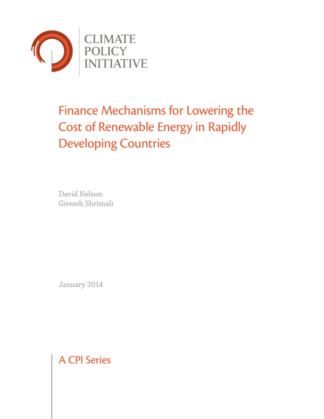

# Finance Mechanisms for Lowering the Cost of Renewable Energy in Rapidly Developing Countries

David Nelson Gireesh Shrimali

January 2014

A CPI Series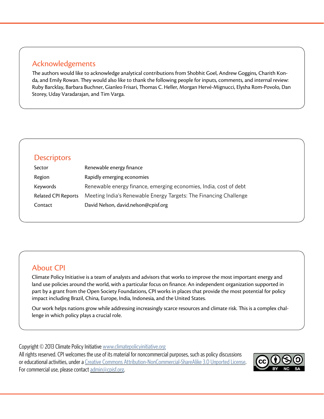# Acknowledgements

The authors would like to acknowledge analytical contributions from Shobhit Goel, Andrew Goggins, Charith Konda, and Emily Rowan. They would also like to thank the following people for inputs, comments, and internal review: Ruby Barcklay, Barbara Buchner, Gianleo Frisari, Thomas C. Heller, Morgan Hervé-Mignucci, Elysha Rom-Povolo, Dan Storey, Uday Varadarajan, and Tim Varga.

# **Descriptors**

| Sector                     | Renewable energy finance                                          |
|----------------------------|-------------------------------------------------------------------|
| Region                     | Rapidly emerging economies                                        |
| Keywords                   | Renewable energy finance, emerging economies, India, cost of debt |
| <b>Related CPI Reports</b> | Meeting India's Renewable Energy Targets: The Financing Challenge |
| Contact                    | David Nelson, david.nelson@cpisf.org                              |

# About CPI

Climate Policy Initiative is a team of analysts and advisors that works to improve the most important energy and land use policies around the world, with a particular focus on finance. An independent organization supported in part by a grant from the Open Society Foundations, CPI works in places that provide the most potential for policy impact including Brazil, China, Europe, India, Indonesia, and the United States.

Our work helps nations grow while addressing increasingly scarce resources and climate risk. This is a complex challenge in which policy plays a crucial role.

Copyright © 2013 Climate Policy Initiative<www.climatepolicyinitiative.org>

All rights reserved. CPI welcomes the use of its material for noncommercial purposes, such as policy discussions or educational activities, under a [Creative Commons Attribution-NonCommercial-ShareAlike 3.0 Unported License](http://creativecommons.org/licenses/by-nc-sa/3.0/). For commercial use, please contact [admin@cpisf.org.](mailto:admin%40cpisf.org?subject=)

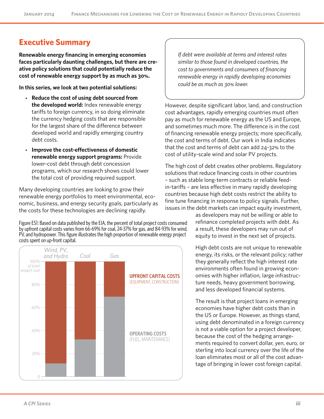# <span id="page-2-0"></span>**Executive Summary**

**Renewable energy financing in emerging economies faces particularly daunting challenges, but there are creative policy solutions that could potentially reduce the cost of renewable energy support by as much as 30%.** 

**In this series, we look at two potential solutions:**

- **Reduce the cost of using debt sourced from the developed world:** Index renewable energy tariffs to foreign currency, in so doing eliminate the currency hedging costs that are responsible for the largest share of the difference between developed world and rapidly emerging country debt costs.
- **Improve the cost-effectiveness of domestic renewable energy support programs:** Provide lower-cost debt through debt concession programs, which our research shows could lower the total cost of providing required support.

Many developing countries are looking to grow their renewable energy portfolios to meet environmental, economic, business, and energy security goals, particularly as the costs for these technologies are declining rapidly.

Figure ES1: Based on data published by the EIA, the percent of total project costs consumed by upfront capital costs varies from 66-69% for coal, 24-37% for gas, and 84-93% for wind, PV, and hydropower. This figure illustrates the high proportion of renewable energy project costs spent on up-front capital.



*If debt were available at terms and interest rates similar to those found in developed countries, the cost to governments and consumers of financing renewable energy in rapidly developing economies could be as much as 30% lower.*

However, despite significant labor, land, and construction cost advantages, rapidly emerging countries must often pay as much for renewable energy as the US and Europe, and sometimes much more. The difference is in the cost of financing renewable energy projects; more specifically, the cost and terms of debt. Our work in India indicates that the cost and terms of debt can add 24-32% to the cost of utility-scale wind and solar PV projects.

The high cost of debt creates other problems. Regulatory solutions that reduce financing costs in other countries – such as stable long-term contracts or reliable feedin-tariffs – are less effective in many rapidly developing countries because high debt costs restrict the ability to fine tune financing in response to policy signals. Further, issues in the debt markets can impact equity investment,

as developers may not be willing or able to refinance completed projects with debt. As a result, these developers may run out of equity to invest in the next set of projects.

High debt costs are not unique to renewable energy, its risks, or the relevant policy; rather they generally reflect the high interest rate environments often found in growing economies with higher inflation, large infrastructure needs, heavy government borrowing, and less developed financial systems.

The result is that project loans in emerging economies have higher debt costs than in the US or Europe. However, as things stand, using debt denominated in a foreign currency is not a viable option for a project developer, because the cost of the hedging arrangements required to convert dollar, yen, euro, or sterling into local currency over the life of the loan eliminates most or all of the cost advantage of bringing in lower cost foreign capital.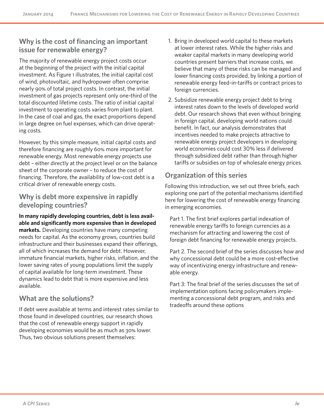# <span id="page-3-0"></span>**Why is the cost of financing an important issue for renewable energy?**

The majority of renewable energy project costs occur at the beginning of the project with the initial capital investment. As Figure 1 illustrates, the initial capital cost of wind, photovoltaic, and hydropower often comprise nearly 90% of total project costs. In contrast, the initial investment of gas projects represent only one-third of the total discounted lifetime costs. The ratio of initial capital investment to operating costs varies from plant to plant. In the case of coal and gas, the exact proportions depend in large degree on fuel expenses, which can drive operating costs.

However, by this simple measure, initial capital costs and therefore financing are roughly 60% more important for renewable energy. Most renewable energy projects use debt – either directly at the project level or on the balance sheet of the corporate owner – to reduce the cost of financing. Therefore, the availability of low-cost debt is a critical driver of renewable energy costs.

# **Why is debt more expensive in rapidly developing countries?**

**In many rapidly developing countries, debt is less available and significantly more expensive than in developed markets.** Developing countries have many competing needs for capital. As the economy grows, countries build infrastructure and their businesses expand their offerings, all of which increases the demand for debt. However, immature financial markets, higher risks, inflation, and the lower saving rates of young populations limit the supply of capital available for long-term investment. These dynamics lead to debt that is more expensive and less available.

# **What are the solutions?**

If debt were available at terms and interest rates similar to those found in developed countries, our research shows that the cost of renewable energy support in rapidly developing economies would be as much as 30% lower. Thus, two obvious solutions present themselves:

- 1. Bring in developed world capital to these markets at lower interest rates. While the higher risks and weaker capital markets in many developing world countries present barriers that increase costs, we believe that many of these risks can be managed and lower financing costs provided, by linking a portion of renewable energy feed-in-tariffs or contract prices to foreign currencies.
- 2. Subsidize renewable energy project debt to bring interest rates down to the levels of developed world debt. Our research shows that even without bringing in foreign capital, developing world nations could benefit. In fact, our analysis demonstrates that incentives needed to make projects attractive to renewable energy project developers in developing world economies could cost 30% less if delivered through subsidized debt rather than through higher tariffs or subsidies on top of wholesale energy prices.

# **Organization of this series**

Following this introduction, we set out three briefs, each exploring one part of the potential mechanisms identified here for lowering the cost of renewable energy financing in emerging economies.

Part 1. The first brief explores partial indexation of renewable energy tariffs to foreign currencies as a mechanism for attracting and lowering the cost of foreign debt financing for renewable energy projects.

Part 2. The second brief of the series discusses how and why concessional debt could be a more cost-effective way of incentivizing energy infrastructure and renewable energy.

Part 3: The final brief of the series discusses the set of implementation options facing policymakers implementing a concessional debt program, and risks and tradeoffs around these options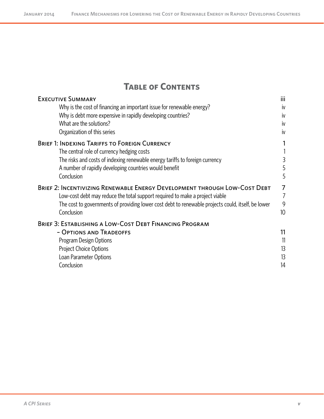# **Table of Contents**

| <b>EXECUTIVE SUMMARY</b>                                                                           | iii |
|----------------------------------------------------------------------------------------------------|-----|
| Why is the cost of financing an important issue for renewable energy?                              | iv  |
| Why is debt more expensive in rapidly developing countries?                                        | iv  |
| What are the solutions?                                                                            | iv  |
| Organization of this series                                                                        | iv  |
| <b>BRIEF 1: INDEXING TARIFFS TO FOREIGN CURRENCY</b>                                               |     |
| The central role of currency hedging costs                                                         |     |
| The risks and costs of indexing renewable energy tariffs to foreign currency                       |     |
| A number of rapidly developing countries would benefit                                             |     |
| Conclusion                                                                                         | 5   |
| <b>BRIEF 2: INCENTIVIZING RENEWABLE ENERGY DEVELOPMENT THROUGH LOW-COST DEBT</b>                   | 7   |
| Low-cost debt may reduce the total support required to make a project viable                       | 7   |
| The cost to governments of providing lower cost debt to renewable projects could, itself, be lower | 9   |
| Conclusion                                                                                         | 10  |
| <b>BRIEF 3: ESTABLISHING A LOW-COST DEBT FINANCING PROGRAM</b>                                     |     |
| - OPTIONS AND TRADEOFFS                                                                            | 11  |
| Program Design Options                                                                             | 11  |
| Project Choice Options                                                                             | 13  |
| Loan Parameter Options                                                                             | 13  |
| Conclusion                                                                                         | 14  |
|                                                                                                    |     |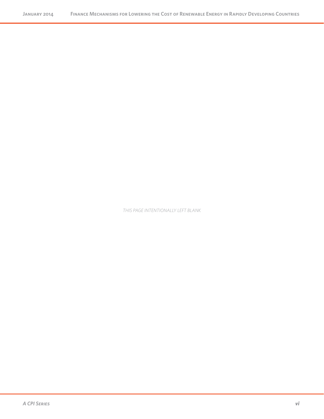*THIS PAGE INTENTIONALLY LEFT BLANK*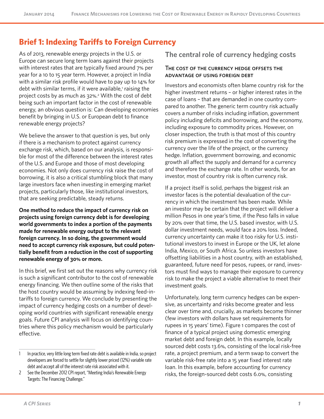# <span id="page-6-0"></span>**Brief 1: Indexing Tariffs to Foreign Currency**

As of 2013, renewable energy projects in the U.S. or Europe can secure long term loans against their projects with interest rates that are typically fixed around 7% per year for a 10 to 15 year term. However, a project in India with a similar risk profile would have to pay up to 14% for debt with similar terms, if it were available,<sup>1</sup> raising the project costs by as much as 32%.<sup>2</sup> With the cost of debt being such an important factor in the cost of renewable energy, an obvious question is: Can developing economies benefit by bringing in U.S. or European debt to finance renewable energy projects?

We believe the answer to that question is yes, but only if there is a mechanism to protect against currency exchange risk, which, based on our analysis, is responsible for most of the difference between the interest rates of the U.S. and Europe and those of most developing economies. Not only does currency risk raise the cost of borrowing, it is also a critical stumbling block that many large investors face when investing in emerging market projects, particularly those, like institutional investors, that are seeking predictable, steady returns.

**One method to reduce the impact of currency risk on projects using foreign currency debt is for developing world governments to index a portion of the payments made for renewable energy output to the relevant foreign currency. In so doing, the government would need to accept currency risk exposure, but could potentially benefit from a reduction in the cost of supporting renewable energy of 30% or more.**

In this brief, we first set out the reasons why currency risk is such a significant contributor to the cost of renewable energy financing. We then outline some of the risks that the host country would be assuming by indexing feed-intariffs to foreign currency. We conclude by presenting the impact of currency hedging costs on a number of developing world countries with significant renewable energy goals. Future CPI analysis will focus on identifying countries where this policy mechanism would be particularly effective.

# **The central role of currency hedging costs**

#### The cost of the currency hedge offsets the advantage of using foreign debt

Investors and economists often blame country risk for the higher investment returns – or higher interest rates in the case of loans – that are demanded in one country compared to another. The generic term country risk actually covers a number of risks including inflation, government policy including deficits and borrowing, and the economy, including exposure to commodity prices. However, on closer inspection, the truth is that most of this country risk premium is expressed in the cost of converting the currency over the life of the project, or the currency hedge. Inflation, government borrowing, and economic growth all affect the supply and demand for a currency and therefore the exchange rate. In other words, for an investor, most of country risk is often currency risk.

If a project itself is solid, perhaps the biggest risk an investor faces is the potential devaluation of the currency in which the investment has been made. While an investor may be certain that the project will deliver a million Pesos in one year's time, if the Peso falls in value by 20% over that time, the U.S. based investor, with U.S. dollar investment needs, would face a 20% loss. Indeed, currency uncertainty can make it too risky for U.S. institutional investors to invest in Europe or the UK, let alone India, Mexico, or South Africa. So unless investors have offsetting liabilities in a host country, with an established, guaranteed, future need for pesos, rupees, or rand, investors must find ways to manage their exposure to currency risk to make the project a viable alternative to meet their investment goals.

Unfortunately, long term currency hedges can be expensive, as uncertainty and risks become greater and less clear over time and, crucially, as markets become thinner (few investors with dollars have set requirements for rupees in 15 years' time). Figure 1 compares the cost of finance of a typical project using domestic emerging market debt and foreign debt. In this example, locally sourced debt costs 13.6%, consisting of the local risk-free rate, a project premium, and a term swap to convert the variable risk-free rate into a 15 year fixed interest rate loan. In this example, before accounting for currency risks, the foreign-sourced debt costs 6.0%, consisting

<sup>1</sup> In practice, very little long term fixed rate debt is available in India, so project developers are forced to settle for slightly lower priced (12%) variable rate debt and accept all of the interest rate risk associated with it.

<sup>2</sup> See the December 2012 CPI report, "Meeting India's Renewable Energy Targets: The Financing Challenge."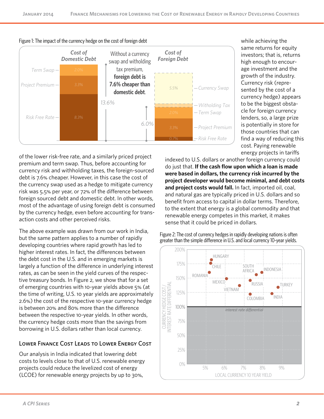

Figure 1: The impact of the currency hedge on the cost of foreign debt

while achieving the same returns for equity investors; that is, returns high enough to encourage investment and the growth of the industry. Currency risk (represented by the cost of a currency hedge) appears to be the biggest obstacle for foreign currency lenders, so, a large prize is potentially in store for those countries that can find a way of reducing this cost. Paying renewable energy projects in tariffs

of the lower risk-free rate, and a similarly priced project premium and term swap. Thus, before accounting for currency risk and withholding taxes, the foreign-sourced debt is 7.6% cheaper. However, in this case the cost of the currency swap used as a hedge to mitigate currency risk was 5.5% per year, or 72% of the difference between foreign sourced debt and domestic debt. In other words, most of the advantage of using foreign debt is consumed by the currency hedge, even before accounting for transaction costs and other perceived risks.

The above example was drawn from our work in India, but the same pattern applies to a number of rapidly developing countries where rapid growth has led to higher interest rates. In fact, the differences between the debt cost in the U.S. and in emerging markets is largely a function of the difference in underlying interest rates, as can be seen in the yield curves of the respective treasury bonds. In [Figure 2,](#page-7-0) we show that for a set of emerging countries with 10-year yields above 5% (at the time of writing, U.S. 10 year yields are approximately 2.6%) the cost of the respective 10-year currency hedge is between 20% and 80% more than the difference between the respective 10-year yields. In other words, the currency hedge costs more than the savings from borrowing in U.S. dollars rather than local currency.

# Lower Finance Cost Leads to Lower Energy Cost

Our analysis in India indicated that lowering debt costs to levels close to that of U.S. renewable energy projects could reduce the levelized cost of energy (LCOE) for renewable energy projects by up to 30%,

indexed to U.S. dollars or another foreign currency could do just that. **If the cash flow upon which a loan is made were based in dollars, the currency risk incurred by the project developer would become minimal, and debt costs and project costs would fall.** In fact, imported oil, coal, and natural gas are typically priced in U.S. dollars and so benefit from access to capital in dollar terms. Therefore, to the extent that energy is a global commodity and that renewable energy competes in this market, it makes sense that it could be priced in dollars.



<span id="page-7-0"></span>Figure 2: The cost of currency hedges in rapidly developing nations is often greater than the simple difference in U.S. and local currency 10-year yields.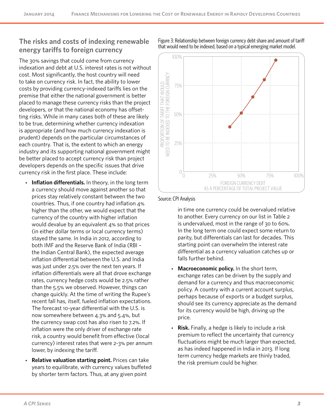# <span id="page-8-0"></span>**The risks and costs of indexing renewable energy tariffs to foreign currency**

The 30% savings that could come from currency indexation and debt at U.S. interest rates is not without cost. Most significantly, the host country will need to take on currency risk. In fact, the ability to lower costs by providing currency-indexed tariffs lies on the premise that either the national government is better placed to manage these currency risks than the project developers, or that the national economy has offsetting risks. While in many cases both of these are likely to be true, determining whether currency indexation is appropriate (and how much currency indexation is prudent) depends on the particular circumstances of each country. That is, the extent to which an energy industry and its supporting national government might be better placed to accept currency risk than project developers depends on the specific issues that drive currency risk in the first place. These include:

- **Inflation differentials.** In theory, in the long term a currency should move against another so that prices stay relatively constant between the two countries. Thus, if one country had inflation 4% higher than the other, we would expect that the currency of the country with higher inflation would devalue by an equivalent 4% so that prices (in either dollar terms or local currency terms) stayed the same. In India in 2012, according to both IMF and the Reserve Bank of India (RBI – the Indian Central Bank), the expected average inflation differential between the U.S. and India was just under 2.5% over the next ten years. If inflation differentials were all that drove exchange rates, currency hedge costs would be 2.5% rather than the 5.5% we observed. However, things can change quickly. At the time of writing the Rupee's recent fall has, itself, fueled inflation expectations. The forecast 10-year differential with the U.S. is now somewhere between 4.3% and 5.4%, but the currency swap cost has also risen to 7.2%. If inflation were the only driver of exchange rate risk, a country would benefit from effective (local currency) interest rates that were 2-3% per annum lower, by indexing the tariff.
- **Relative valuation starting point.** Prices can take years to equilibrate, with currency values buffeted by shorter term factors. Thus, at any given point



<span id="page-8-1"></span>Figure 3: Relationship between foreign currency debt share and amount of tariff that would need to be indexed, based on a typical emerging market model.

#### Source: CPI Analysis

in time one currency could be overvalued relative to another. Every currency on our list in Table 2 is undervalued, most in the range of 30 to 60%. In the long term one could expect some return to parity, but differentials can last for decades. This starting point can overwhelm the interest rate differential as a currency valuation catches up or falls further behind.

- **Macroeconomic policy.** In the short term, exchange rates can be driven by the supply and demand for a currency and thus macroeconomic policy. A country with a current account surplus, perhaps because of exports or a budget surplus, should see its currency appreciate as the demand for its currency would be high, driving up the price.
- **Risk.** Finally, a hedge is likely to include a risk premium to reflect the uncertainty that currency fluctuations might be much larger than expected, as has indeed happened in India in 2013. If long term currency hedge markets are thinly traded, the risk premium could be higher.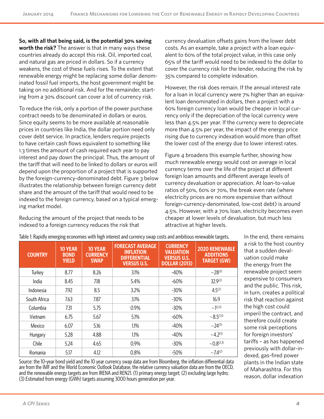**So, with all that being said, is the potential 30% saving worth the risk?** The answer is that in many ways these countries already do accept this risk. Oil, imported coal, and natural gas are priced in dollars. So if a currency weakens, the cost of these fuels rises. To the extent that renewable energy might be replacing some dollar denominated fossil fuel imports, the host government might be taking on no additional risk. And for the remainder, starting from a 30% discount can cover a lot of currency risk.

To reduce the risk, only a portion of the power purchase contract needs to be denominated in dollars or euros. Since equity seems to be more available at reasonable prices in countries like India, the dollar portion need only cover debt service. In practice, lenders require projects to have certain cash flows equivalent to something like 1.3 times the amount of cash required each year to pay interest and pay down the principal. Thus, the amount of the tariff that will need to be linked to dollars or euros will depend upon the proportion of a project that is supported by the foreign-currency-denominated debt. [Figure 3](#page-8-1) below illustrates the relationship between foreign currency debt share and the amount of the tariff that would need to be indexed to the foreign currency, based on a typical emerging market model.

Reducing the amount of the project that needs to be indexed to a foreign currency reduces the risk that

currency devaluation offsets gains from the lower debt costs. As an example, take a project with a loan equivalent to 60% of the total project value, in this case only 65% of the tariff would need to be indexed to the dollar to cover the currency risk for the lender, reducing the risk by 35% compared to complete indexation.

However, the risk does remain. If the annual interest rate for a loan in local currency were 7% higher than an equivalent loan denominated in dollars, then a project with a 60% foreign currency loan would be cheaper in local currency only if the depreciation of the local currency were less than 4.5% per year. If the currency were to depreciate more than 4.5% per year, the impact of the energy price rising due to currency indexation would more than offset the lower cost of the energy due to lower interest rates.

[Figure 4](#page-10-1) broadens this example further, showing how much renewable energy would cost on average in local currency terms over the life of the project at different foreign loan amounts and different average levels of currency devaluation or appreciation. At loan-to-value ratios of 50%, 60% or 70%, the break even rate (where electricity prices are no more expensive than without foreign-currency-denominated, low-cost debt) is around 4.5%. However, with a 70% loan, electricity becomes even cheaper at lower levels of devaluation, but much less attractive at higher levels.

| <b>COUNTRY</b> | <b>10 YEAR</b><br><b>BOND</b><br><b>YIELD</b> | <b>10 YEAR</b><br><b>CURRENCY</b><br><b>SWAP</b> | <b>FORECAST AVERAGE</b><br><b>INFLATION</b><br><b>DIFFERENTIAL</b><br><b>VERSUS U.S.</b> | <b>CURRENCY</b><br><b>VALUATION</b><br><b>VERSUS U.S.</b><br><b>DOLLAR (2013)</b> | <b>2020 RENEWABLE</b><br><b>ADDITIONS</b><br><b>TARGET (GW)</b> |
|----------------|-----------------------------------------------|--------------------------------------------------|------------------------------------------------------------------------------------------|-----------------------------------------------------------------------------------|-----------------------------------------------------------------|
| Turkey         | 8.77                                          | 8.26                                             | 3.1%                                                                                     | $-40%$                                                                            | $~28^{(3)}$                                                     |
| India          | 8.45                                          | 7.18                                             | 5.4%                                                                                     | $-60%$                                                                            | $32.9^{(2)}$                                                    |
| Indonesia      | 7.92                                          | 8.5                                              | 3.2%                                                                                     | $-30\%$                                                                           | $4.5^{(2)}$                                                     |
| South Africa   | 7.63                                          | 7.87                                             | 3.1%                                                                                     | $-30%$                                                                            | 16.9                                                            |
| Columbia       | 7.31                                          | 5.75                                             | 0.9%                                                                                     | $-30%$                                                                            | $\sim$ 1 <sup>(2,3)</sup>                                       |
| Vietnam        | 6.75                                          | 5.67                                             | 5.1%                                                                                     | $-60%$                                                                            | $\sim 8.5(1,3)$                                                 |
| Mexico         | 6.07                                          | 5.16                                             | 1.1%                                                                                     | $-40%$                                                                            | $\sim$ 24 <sup>(3)</sup>                                        |
| <b>Hungary</b> | 5.28                                          | 4.88                                             | 1.1%                                                                                     | $-40%$                                                                            | $\sim$ 4 7(3)                                                   |
| Chile          | 5.24                                          | 4.65                                             | 0.9%                                                                                     | $-30\%$                                                                           | $\sim$ 0 8 <sup>(2,3)</sup>                                     |
| Romania        | 5.17                                          | 4.12                                             | 0.8%                                                                                     | $-50%$                                                                            | $\sim$ 7.4 <sup>(2)</sup>                                       |

Table 1: Rapidly emerging economies with high interest and currency swap costs and ambitious renewable targets.

Source: the 10-year bond yield and the 10 year currency swap data are from Bloomberg, the inflation differential data are from the IMF and the World Economic Outlook Database, the relative currency valuation data are from the OECD, and the renewable energy targets are from IRENA and REN21. (1) primary energy target; (2) excluding large hydro; (3) Estimated from energy (GWh) targets assuming 3000 hours generation per year.

In the end, there remains a risk to the host country that a sudden devaluation could make the energy from the renewable project seem expensive to consumers and the public. This risk, in turn, creates a political risk that reaction against the high cost could imperil the contract, and therefore could create some risk perceptions for foreign investors' tariffs – as has happened previously with dollar-indexed, gas-fired power plants in the Indian state of Maharashtra. For this reason, dollar indexation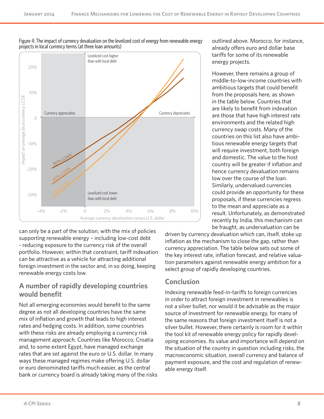

<span id="page-10-1"></span><span id="page-10-0"></span>

can only be a part of the solution, with the mix of policies supporting renewable energy – including low-cost debt - reducing exposure to the currency risk of the overall portfolio. However, within that constraint, tariff indexation can be attractive as a vehicle for attracting additional foreign investment in the sector and, in so doing, keeping renewable energy costs low.

# **A number of rapidly developing countries would benefit**

Not all emerging economies would benefit to the same degree as not all developing countries have the same mix of inflation and growth that leads to high interest rates and hedging costs. In addition, some countries with these risks are already employing a currency risk management approach. Countries like Morocco, Croatia and, to some extent Egypt, have managed exchange rates that are set against the euro or U.S. dollar. In many ways these managed regimes make offering U.S. dollar or euro denominated tariffs much easier, as the central bank or currency board is already taking many of the risks

outlined above. Morocco, for instance, already offers euro and dollar base tariffs for some of its renewable energy projects.

However, there remains a group of middle-to-low-income countries with ambitious targets that could benefit from the proposals here, as shown in the table below. Countries that are likely to benefit from indexation are those that have high interest rate environments and the related high currency swap costs. Many of the countries on this list also have ambitious renewable energy targets that will require investment, both foreign and domestic. The value to the host country will be greater if inflation and hence currency devaluation remains low over the course of the loan. Similarly, undervalued currencies could provide an opportunity for these proposals, if these currencies regress to the mean and appreciate as a result. Unfortunately, as demonstrated recently by India, this mechanism can be fraught, as undervaluation can be

driven by currency devaluation which can, itself, stoke up inflation as the mechanism to close the gap, rather than currency appreciation. The table below sets out some of the key interest rate, inflation forecast, and relative valuation parameters against renewable energy ambition for a select group of rapidly developing countries.

# **Conclusion**

Indexing renewable feed-in-tariffs to foreign currencies in order to attract foreign investment in renewables is not a silver bullet, nor would it be advisable as the major source of investment for renewable energy, for many of the same reasons that foreign investment itself is not a silver bullet. However, there certainly is room for it within the tool kit of renewable energy policy for rapidly developing economies. Its value and importance will depend on the situation of the country in question including risks, the macroeconomic situation, overall currency and balance of payment exposure, and the cost and regulation of renewable energy itself.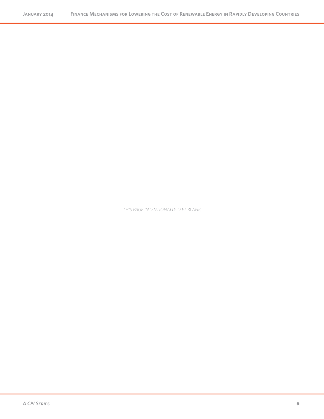*THIS PAGE INTENTIONALLY LEFT BLANK*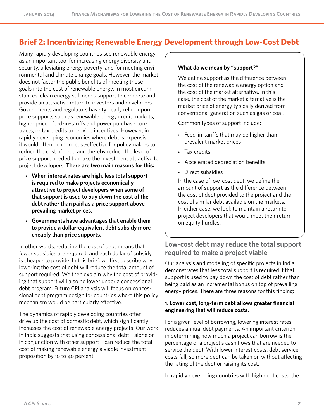# <span id="page-12-0"></span>**Brief 2: Incentivizing Renewable Energy Development through Low-Cost Debt**

Many rapidly developing countries see renewable energy as an important tool for increasing energy diversity and security, alleviating energy poverty, and for meeting environmental and climate change goals. However, the market does not factor the public benefits of meeting those goals into the cost of renewable energy. In most circumstances, clean energy still needs support to compete and provide an attractive return to investors and developers. Governments and regulators have typically relied upon price supports such as renewable energy credit markets, higher priced feed-in-tariffs and power purchase contracts, or tax credits to provide incentives. However, in rapidly developing economies where debt is expensive, it would often be more cost-effective for policymakers to reduce the cost of debt, and thereby reduce the level of price support needed to make the investment attractive to project developers. **There are two main reasons for this:**

- **When interest rates are high, less total support is required to make projects economically attractive to project developers when some of that support is used to buy down the cost of the debt rather than paid as a price support above prevailing market prices.**
- **Governments have advantages that enable them to provide a dollar-equivalent debt subsidy more cheaply than price supports.**

In other words, reducing the cost of debt means that fewer subsidies are required, and each dollar of subsidy is cheaper to provide. In this brief, we first describe why lowering the cost of debt will reduce the total amount of support required. We then explain why the cost of providing that support will also be lower under a concessional debt program. Future CPI analysis will focus on concessional debt program design for countries where this policy mechanism would be particularly effective.

The dynamics of rapidly developing countries often drive up the cost of domestic debt, which significantly increases the cost of renewable energy projects. Our work in India suggests that using concessional debt – alone or in conjunction with other support – can reduce the total cost of making renewable energy a viable investment proposition by 10 to 40 percent.

#### **What do we mean by "support?"**

We define support as the difference between the cost of the renewable energy option and the cost of the market alternative. In this case, the cost of the market alternative is the market price of energy typically derived from conventional generation such as gas or coal.

Common types of support include:

- Feed-in-tariffs that may be higher than prevalent market prices
- Tax credits
- Accelerated depreciation benefits
- Direct subsidies

In the case of low-cost debt, we define the amount of support as the difference between the cost of debt provided to the project and the cost of similar debt available on the markets. In either case, we look to maintain a return to project developers that would meet their return on equity hurdles.

# **Low-cost debt may reduce the total support required to make a project viable**

Our analysis and modeling of specific projects in India demonstrates that less total support is required if that support is used to pay down the cost of debt rather than being paid as an incremental bonus on top of prevailing energy prices. There are three reasons for this finding:

#### **1. Lower cost, long-term debt allows greater financial engineering that will reduce costs.**

For a given level of borrowing, lowering interest rates reduces annual debt payments. An important criterion in determining how much a project can borrow is the percentage of a project's cash flows that are needed to service the debt. With lower interest costs, debt service costs fall, so more debt can be taken on without affecting the rating of the debt or raising its cost.

In rapidly developing countries with high debt costs, the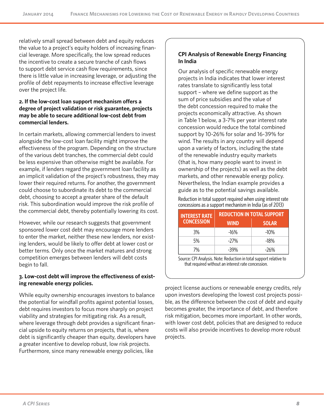relatively small spread between debt and equity reduces the value to a project's equity holders of increasing financial leverage. More specifically, the low spread reduces the incentive to create a secure tranche of cash flows to support debt service cash flow requirements, since there is little value in increasing leverage, or adjusting the profile of debt repayments to increase effective leverage over the project life.

#### **2. If the low-cost loan support mechanism offers a degree of project validation or risk guarantee, projects may be able to secure additional low-cost debt from commercial lenders.**

In certain markets, allowing commercial lenders to invest alongside the low-cost loan facility might improve the effectiveness of the program. Depending on the structure of the various debt tranches, the commercial debt could be less expensive than otherwise might be available. For example, if lenders regard the government loan facility as an implicit validation of the project's robustness, they may lower their required returns. For another, the government could choose to subordinate its debt to the commercial debt, choosing to accept a greater share of the default risk. This subordination would improve the risk profile of the commercial debt, thereby potentially lowering its cost.

However, while our research suggests that government sponsored lower cost debt may encourage more lenders to enter the market, neither these new lenders, nor existing lenders, would be likely to offer debt at lower cost or better terms. Only once the market matures and strong competition emerges between lenders will debt costs begin to fall.

#### **3. Low-cost debt will improve the effectiveness of existing renewable energy policies.**

While equity ownership encourages investors to balance the potential for windfall profits against potential losses, debt requires investors to focus more sharply on project viability and strategies for mitigating risk. As a result, where leverage through debt provides a significant financial upside to equity returns on projects, that is, where debt is significantly cheaper than equity, developers have a greater incentive to develop robust, low risk projects. Furthermore, since many renewable energy policies, like

#### **CPI Analysis of Renewable Energy Financing In India**

Our analysis of specific renewable energy projects in India indicates that lower interest rates translate to significantly less total support – where we define support as the sum of price subsidies and the value of the debt concession required to make the projects economically attractive. As shown in Table 1 below, a 3-7% per year interest rate concession would reduce the total combined support by 10-26% for solar and 16-39% for wind. The results in any country will depend upon a variety of factors, including the state of the renewable industry equity markets (that is, how many people want to invest in ownership of the projects) as well as the debt markets, and other renewable energy policy. Nevertheless, the Indian example provides a guide as to the potential savings available.

Reduction in total support required when using interest rate concessions as a support mechanism in India (as of 2013)

| <b>INTEREST RATE</b> | <b>REDUCTION IN TOTAL SUPPORT</b> |              |  |  |
|----------------------|-----------------------------------|--------------|--|--|
| <b>CONCESSION</b>    | <b>WIND</b>                       | <b>SOLAR</b> |  |  |
| 3%                   | $-16\%$                           | $-10%$       |  |  |
| 5%                   | $-27%$                            | $-18%$       |  |  |
| 7%                   | $-39%$                            | -26%         |  |  |

Source: CPI Analysis. Note: Reduction in total support relative to that required without an interest rate concession.

project license auctions or renewable energy credits, rely upon investors developing the lowest cost projects possible, as the difference between the cost of debt and equity becomes greater, the importance of debt, and therefore risk mitigation, becomes more important. In other words, with lower cost debt, policies that are designed to reduce costs will also provide incentives to develop more robust projects.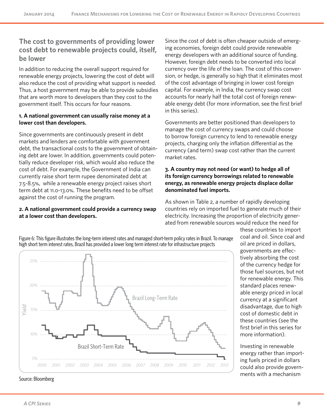# <span id="page-14-0"></span>**The cost to governments of providing lower cost debt to renewable projects could, itself, be lower**

In addition to reducing the overall support required for renewable energy projects, lowering the cost of debt will also reduce the cost of providing what support is needed. Thus, a host government may be able to provide subsidies that are worth more to developers than they cost to the government itself. This occurs for four reasons.

#### **1. A national government can usually raise money at a lower cost than developers.**

Since governments are continuously present in debt markets and lenders are comfortable with government debt, the transactional costs to the government of obtaining debt are lower. In addition, governments could potentially reduce developer risk, which would also reduce the cost of debt. For example, the Government of India can currently raise short term rupee denominated debt at 7.5-8.5%, while a renewable energy project raises short term debt at 11.0-13.0%. These benefits need to be offset against the cost of running the program.

#### **2. A national government could provide a currency swap at a lower cost than developers.**

Since the cost of debt is often cheaper outside of emerging economies, foreign debt could provide renewable energy developers with an additional source of funding. However, foreign debt needs to be converted into local currency over the life of the loan. The cost of this conversion, or hedge, is generally so high that it eliminates most of the cost advantage of bringing in lower cost foreign capital. For example, in India, the currency swap cost accounts for nearly half the total cost of foreign renewable energy debt (for more information, see the first brief in this series).

Governments are better positioned than developers to manage the cost of currency swaps and could choose to borrow foreign currency to lend to renewable energy projects, charging only the inflation differential as the currency (and term) swap cost rather than the current market rates.

#### **3. A country may not need (or want) to hedge all of its foreign currency borrowings related to renewable energy, as renewable energy projects displace dollar denominated fuel imports.**

As shown in [Table 2](#page-15-1), a number of rapidly developing countries rely on imported fuel to generate much of their electricity. Increasing the proportion of electricity generated from renewable sources would reduce the need for

Figure 6: This figure illustrates the long-term interest rates and managed short-term policy rates in Brazil. To manage high short term interest rates, Brazil has provided a lower long term interest rate for infrastructure projects



these countries to import coal and oil. Since coal and oil are priced in dollars, governments are effectively absorbing the cost of the currency hedge for those fuel sources, but not for renewable energy. This standard places renewable energy priced in local currency at a significant disadvantage, due to high cost of domestic debt in these countries (see the first brief in this series for more information).

Investing in renewable energy rather than importing fuels priced in dollars could also provide governments with a mechanism

#### Source: Bloomberg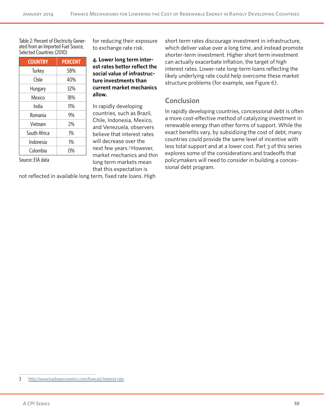<span id="page-15-1"></span><span id="page-15-0"></span>Table 2: Percent of Electricity Gener- ated from an Imported Fuel Source, Selected Countries (2010)

| <b>COUNTRY</b> | <b>PERCENT</b> |
|----------------|----------------|
| Turkey         | 58%            |
| Chile          | 40%            |
| Hungary        | 32%            |
| Mexico         | 18%            |
| India          | 11%            |
| Romania        | 9%             |
| Vietnam        | 7%             |
| South Africa   | 1%             |
| Indonesia      | 1%             |
| Colombia       | 0%             |

Source: EIA data

for reducing their exposure to exchange rate risk.

**4. Lower long term interest rates better reflect the social value of infrastructure investments than current market mechanics allow.** 

In rapidly developing countries, such as Brazil, Chile, Indonesia, Mexico, and Venezuela, observers believe that interest rates will decrease over the next few years.3 However, market mechanics and thin long term markets mean that this expectation is

not reflected in available long term, fixed rate loans. High

short term rates discourage investment in infrastructure, which deliver value over a long time, and instead promote shorter-term investment. Higher short term investment can actually exacerbate inflation, the target of high interest rates. Lower-rate long-term loans reflecting the likely underlying rate could help overcome these market structure problems (for example, see Figure 6).

# **Conclusion**

In rapidly developing countries, concessional debt is often a more cost-effective method of catalyzing investment in renewable energy than other forms of support. While the exact benefits vary, by subsidizing the cost of debt, many countries could provide the same level of incentive with less total support and at a lower cost. Part 3 of this series explores some of the considerations and tradeoffs that policymakers will need to consider in building a concessional debt program.

<sup>3</sup> <http://www.tradingeconomics.com/forecast/interest-rate>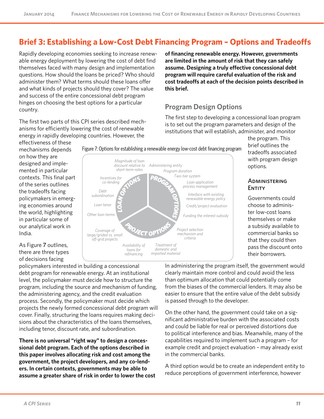# <span id="page-16-0"></span>**Brief 3: Establishing a Low-Cost Debt Financing Program – Options and Tradeoffs**

Rapidly developing economies seeking to increase renewable energy deployment by lowering the cost of debt find themselves faced with many design and implementation questions. How should the loans be priced? Who should administer them? What terms should these loans offer and what kinds of projects should they cover? The value and success of the entire concessional debt program hinges on choosing the best options for a particular country.

The first two parts of this CPI series described mechanisms for efficiently lowering the cost of renewable energy in rapidly developing countries. However, the

**of financing renewable energy. However, governments are limited in the amount of risk that they can safely assume. Designing a truly effective concessional debt program will require careful evaluation of the risk and cost tradeoffs at each of the decision points described in this brief.** 

# **Program Design Options**

The first step to developing a concessional loan program is to set out the program parameters and design of the institutions that will establish, administer, and monitor

effectiveness of these mechanisms depends on how they are designed and implemented in particular contexts. This final part of the series outlines the tradeoffs facing policymakers in emerging economies around the world, highlighting in particular some of our analytical work in India.

As [Figure](#page-16-1) 7 outlines, there are three types of decisions facing

policymakers interested in building a concessional debt program for renewable energy. At an institutional level, the policymaker must decide how to structure the program, including the source and mechanism of funding, the administering agency, and the credit evaluation process. Secondly, the policymaker must decide which projects the newly formed concessional debt program will cover. Finally, structuring the loans requires making decisions about the characteristics of the loans themselves, including tenor, discount rate, and subordination.

**There is no universal "right way" to design a concessional debt program. Each of the options described in this paper involves allocating risk and cost among the government, the project developers, and any co-lenders. In certain contexts, governments may be able to assume a greater share of risk in order to lower the cost**  the program. This brief outlines the tradeoffs associated with program design options.

#### **ADMINISTERING ENTITY**

Governments could choose to administer low-cost loans themselves or make a subsidy available to commercial banks so that they could then pass the discount onto their borrowers.

In administering the program itself, the government would clearly maintain more control and could avoid the less than optimum allocation that could potentially come from the biases of the commercial lenders. It may also be easier to ensure that the entire value of the debt subsidy is passed through to the developer.

On the other hand, the government could take on a significant administrative burden with the associated costs and could be liable for real or perceived distortions due to political interference and bias. Meanwhile, many of the capabilities required to implement such a program – for example credit and project evaluation – may already exist in the commercial banks.

A third option would be to create an independent entity to reduce perceptions of government interference, however



<span id="page-16-1"></span>Figure 7: Options for establishing a renewable energy low-cost debt financing program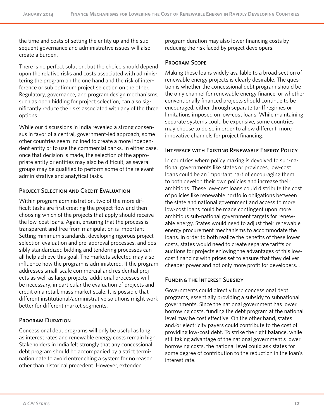the time and costs of setting the entity up and the subsequent governance and administrative issues will also create a burden.

There is no perfect solution, but the choice should depend upon the relative risks and costs associated with administering the program on the one hand and the risk of interference or sub optimum project selection on the other. Regulatory, governance, and program design mechanisms, such as open bidding for project selection, can also significantly reduce the risks associated with any of the three options.

While our discussions in India revealed a strong consensus in favor of a central, government-led approach, some other countries seem inclined to create a more independent entity or to use the commercial banks. In either case, once that decision is made, the selection of the appropriate entity or entities may also be difficult, as several groups may be qualified to perform some of the relevant administrative and analytical tasks.

#### Project Selection and Credit Evaluation

Within program administration, two of the more difficult tasks are first creating the project flow and then choosing which of the projects that apply should receive the low-cost loans. Again, ensuring that the process is transparent and free from manipulation is important. Setting minimum standards, developing rigorous project selection evaluation and pre-approval processes, and possibly standardized bidding and tendering processes can all help achieve this goal. The markets selected may also influence how the program is administered. If the program addresses small-scale commercial and residential projects as well as large projects, additional processes will be necessary, in particular the evaluation of projects and credit on a retail, mass market scale. It is possible that different institutional/administrative solutions might work better for different market segments.

### Program Duration

Concessional debt programs will only be useful as long as interest rates and renewable energy costs remain high. Stakeholders in India felt strongly that any concessional debt program should be accompanied by a strict termination date to avoid entrenching a system for no reason other than historical precedent. However, extended

program duration may also lower financing costs by reducing the risk faced by project developers.

#### Program Scope

Making these loans widely available to a broad section of renewable energy projects is clearly desirable. The question is whether the concessional debt program should be the only channel for renewable energy finance, or whether conventionally financed projects should continue to be encouraged, either through separate tariff regimes or limitations imposed on low-cost loans. While maintaining separate systems could be expensive, some countries may choose to do so in order to allow different, more innovative channels for project financing.

#### Interface with Existing Renewable Energy Policy

In countries where policy making is devolved to sub-national governments like states or provinces, low-cost loans could be an important part of encouraging them to both develop their own policies and increase their ambitions. These low-cost loans could distribute the cost of policies like renewable portfolio obligations between the state and national government and access to more low-cost loans could be made contingent upon more ambitious sub-national government targets for renewable energy. States would need to adjust their renewable energy procurement mechanisms to accommodate the loans. In order to both realize the benefits of these lower costs, states would need to create separate tariffs or auctions for projects enjoying the advantages of this lowcost financing with prices set to ensure that they deliver cheaper power and not only more profit for developers. .

#### Funding the Interest Subsidy

Governments could directly fund concessional debt programs, essentially providing a subsidy to subnational governments. Since the national government has lower borrowing costs, funding the debt program at the national level may be cost effective. On the other hand, states and/or electricity payers could contribute to the cost of providing low-cost debt. To strike the right balance, while still taking advantage of the national government's lower borrowing costs, the national level could ask states for some degree of contribution to the reduction in the loan's interest rate.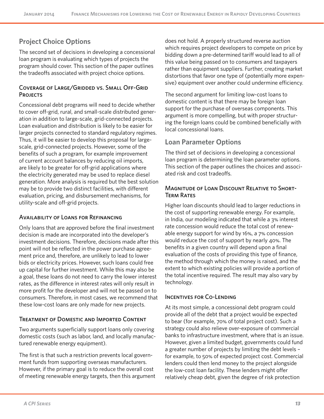# <span id="page-18-0"></span>**Project Choice Options**

The second set of decisions in developing a concessional loan program is evaluating which types of projects the program should cover. This section of the paper outlines the tradeoffs associated with project choice options.

#### Coverage of Large/Gridded vs. Small Off-Grid **PROJECTS**

Concessional debt programs will need to decide whether to cover off-grid, rural, and small-scale distributed generation in addition to large-scale, grid-connected projects. Loan evaluation and distribution is likely to be easier for larger projects connected to standard regulatory regimes. Thus, it will be easier to develop this proposal for largescale, grid-connected projects. However, some of the benefits of such a program, for example improvement of current account balances by reducing oil imports, are likely to be greater for off-grid applications where the electricity generated may be used to replace diesel generation. More analysis is required but the best solution may be to provide two distinct facilities, with different evaluation, pricing, and disbursement mechanisms, for utility-scale and off-grid projects.

#### Availability of Loans for Refinancing

Only loans that are approved before the final investment decision is made are incorporated into the developer's investment decisions. Therefore, decisions made after this point will not be reflected in the power purchase agreement price and, therefore, are unlikely to lead to lower bids or electricity prices. However, such loans could free up capital for further investment. While this may also be a goal, these loans do not need to carry the lower interest rates, as the difference in interest rates will only result in more profit for the developer and will not be passed on to consumers. Therefore, in most cases, we recommend that these low-cost loans are only made for new projects.

### Treatment of Domestic and Imported Content

Two arguments superficially support loans only covering domestic costs (such as labor, land, and locally manufactured renewable energy equipment).

The first is that such a restriction prevents local government funds from supporting overseas manufacturers. However, if the primary goal is to reduce the overall cost of meeting renewable energy targets, then this argument does not hold. A properly structured reverse auction which requires project developers to compete on price by bidding down a pre-determined tariff would lead to all of this value being passed on to consumers and taxpayers rather than equipment suppliers. Further, creating market distortions that favor one type of (potentially more expensive) equipment over another could undermine efficiency.

The second argument for limiting low-cost loans to domestic content is that there may be foreign loan support for the purchase of overseas components. This argument is more compelling, but with proper structuring the foreign loans could be combined beneficially with local concessional loans.

# **Loan Parameter Options**

The third set of decisions in developing a concessional loan program is determining the loan parameter options. This section of the paper outlines the choices and associated risk and cost tradeoffs.

#### Magnitude of Loan Discount Relative to Short-Term Rates

Higher loan discounts should lead to larger reductions in the cost of supporting renewable energy. For example, in India, our modeling indicated that while a 3% interest rate concession would reduce the total cost of renewable energy support for wind by 16%, a 7% concession would reduce the cost of support by nearly 40%. The benefits in a given country will depend upon a final evaluation of the costs of providing this type of finance, the method through which the money is raised, and the extent to which existing policies will provide a portion of the total incentive required. The result may also vary by technology.

### Incentives for Co-Lending

At its most simple, a concessional debt program could provide all of the debt that a project would be expected to bear (for example, 70% of total project cost). Such a strategy could also relieve over-exposure of commercial banks to infrastructure investment, where that is an issue. However, given a limited budget, governments could fund a greater number of projects by limiting the debt levels – for example, to 50% of expected project cost. Commercial lenders could then lend money to the project alongside the low-cost loan facility. These lenders might offer relatively cheap debt, given the degree of risk protection